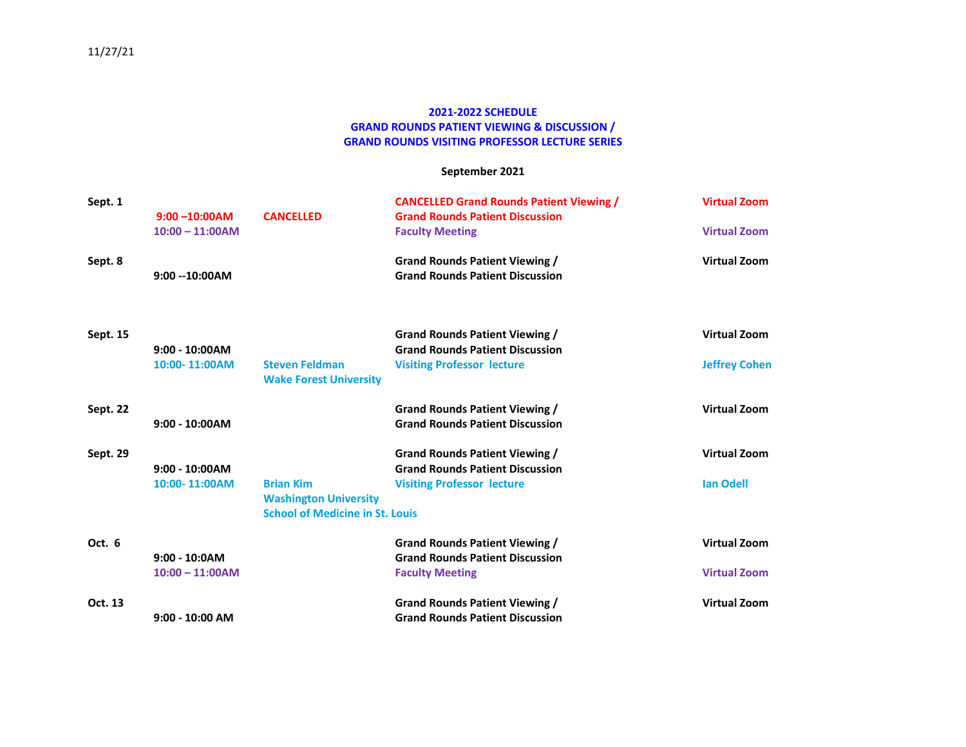### **2021-2022 SCHEDULE GRAND ROUNDS PATIENT VIEWING & DISCUSSION / GRAND ROUNDS VISITING PROFESSOR LECTURE SERIES**

### **September 2021**

| Sept. 1  |                   |                                                        | <b>CANCELLED Grand Rounds Patient Viewing /</b> | <b>Virtual Zoom</b>  |
|----------|-------------------|--------------------------------------------------------|-------------------------------------------------|----------------------|
|          | $9:00 - 10:00$ AM | <b>CANCELLED</b>                                       | <b>Grand Rounds Patient Discussion</b>          |                      |
|          | $10:00 - 11:00AM$ |                                                        | <b>Faculty Meeting</b>                          | <b>Virtual Zoom</b>  |
| Sept. 8  |                   |                                                        | <b>Grand Rounds Patient Viewing /</b>           | <b>Virtual Zoom</b>  |
|          | $9:00 - 10:00AM$  |                                                        | <b>Grand Rounds Patient Discussion</b>          |                      |
| Sept. 15 |                   |                                                        | Grand Rounds Patient Viewing /                  | <b>Virtual Zoom</b>  |
|          | $9:00 - 10:00AM$  |                                                        | <b>Grand Rounds Patient Discussion</b>          |                      |
|          | 10:00-11:00AM     | <b>Steven Feldman</b><br><b>Wake Forest University</b> | <b>Visiting Professor lecture</b>               | <b>Jeffrey Cohen</b> |
| Sept. 22 |                   |                                                        | <b>Grand Rounds Patient Viewing /</b>           | <b>Virtual Zoom</b>  |
|          | $9:00 - 10:00AM$  |                                                        | <b>Grand Rounds Patient Discussion</b>          |                      |
| Sept. 29 |                   |                                                        | Grand Rounds Patient Viewing /                  | <b>Virtual Zoom</b>  |
|          | $9:00 - 10:00AM$  |                                                        | <b>Grand Rounds Patient Discussion</b>          |                      |
|          | 10:00-11:00AM     | <b>Brian Kim</b>                                       | <b>Visiting Professor lecture</b>               | <b>Ian Odell</b>     |
|          |                   | <b>Washington University</b>                           |                                                 |                      |
|          |                   | <b>School of Medicine in St. Louis</b>                 |                                                 |                      |
| Oct. 6   |                   |                                                        | <b>Grand Rounds Patient Viewing /</b>           | <b>Virtual Zoom</b>  |
|          | $9:00 - 10:0AM$   |                                                        | <b>Grand Rounds Patient Discussion</b>          |                      |
|          | $10:00 - 11:00AM$ |                                                        | <b>Faculty Meeting</b>                          | <b>Virtual Zoom</b>  |
| Oct. 13  |                   |                                                        | Grand Rounds Patient Viewing /                  | <b>Virtual Zoom</b>  |
|          | $9:00 - 10:00$ AM |                                                        | <b>Grand Rounds Patient Discussion</b>          |                      |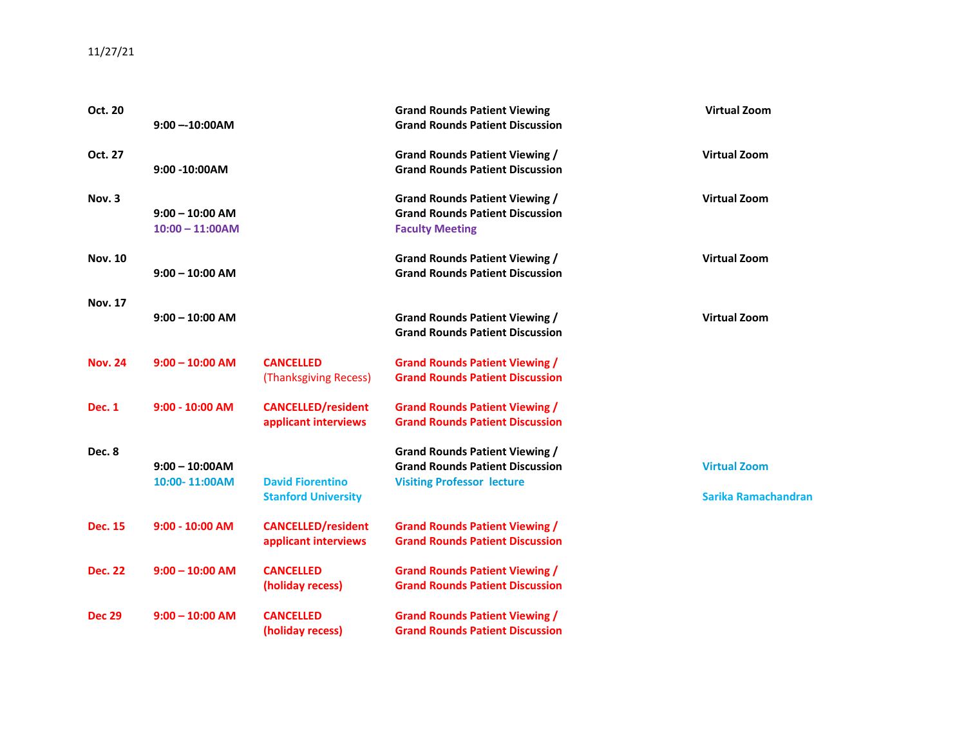# 11/27/21

| Oct. 20        |                   |                                                       | <b>Grand Rounds Patient Viewing</b>    | <b>Virtual Zoom</b> |
|----------------|-------------------|-------------------------------------------------------|----------------------------------------|---------------------|
|                | $9:00 - 10:00AM$  |                                                       | <b>Grand Rounds Patient Discussion</b> |                     |
| Oct. 27        |                   |                                                       | <b>Grand Rounds Patient Viewing /</b>  | <b>Virtual Zoom</b> |
|                | 9:00 -10:00AM     |                                                       | <b>Grand Rounds Patient Discussion</b> |                     |
| Nov. 3         |                   |                                                       | <b>Grand Rounds Patient Viewing /</b>  | <b>Virtual Zoom</b> |
|                | $9:00 - 10:00$ AM |                                                       | <b>Grand Rounds Patient Discussion</b> |                     |
|                | $10:00 - 11:00AM$ |                                                       | <b>Faculty Meeting</b>                 |                     |
| <b>Nov. 10</b> |                   |                                                       | <b>Grand Rounds Patient Viewing /</b>  | <b>Virtual Zoom</b> |
|                | $9:00 - 10:00$ AM |                                                       | <b>Grand Rounds Patient Discussion</b> |                     |
| <b>Nov. 17</b> |                   |                                                       |                                        |                     |
|                | $9:00 - 10:00$ AM |                                                       | <b>Grand Rounds Patient Viewing /</b>  | <b>Virtual Zoom</b> |
|                |                   |                                                       | <b>Grand Rounds Patient Discussion</b> |                     |
| <b>Nov. 24</b> | $9:00 - 10:00$ AM | <b>CANCELLED</b>                                      | <b>Grand Rounds Patient Viewing /</b>  |                     |
|                |                   | (Thanksgiving Recess)                                 | <b>Grand Rounds Patient Discussion</b> |                     |
| <b>Dec. 1</b>  | $9:00 - 10:00$ AM | <b>CANCELLED/resident</b>                             | <b>Grand Rounds Patient Viewing /</b>  |                     |
|                |                   | applicant interviews                                  | <b>Grand Rounds Patient Discussion</b> |                     |
| Dec. 8         |                   |                                                       | <b>Grand Rounds Patient Viewing /</b>  |                     |
|                | $9:00 - 10:00AM$  |                                                       | <b>Grand Rounds Patient Discussion</b> | <b>Virtual Zoom</b> |
|                | 10:00-11:00AM     | <b>David Fiorentino</b><br><b>Stanford University</b> | <b>Visiting Professor lecture</b>      | Sarika Ramachandran |
|                |                   |                                                       |                                        |                     |
| <b>Dec. 15</b> | $9:00 - 10:00$ AM | <b>CANCELLED/resident</b>                             | <b>Grand Rounds Patient Viewing /</b>  |                     |
|                |                   | applicant interviews                                  | <b>Grand Rounds Patient Discussion</b> |                     |
| <b>Dec. 22</b> | $9:00 - 10:00$ AM | <b>CANCELLED</b>                                      | <b>Grand Rounds Patient Viewing /</b>  |                     |
|                |                   | (holiday recess)                                      | <b>Grand Rounds Patient Discussion</b> |                     |
| <b>Dec 29</b>  | $9:00 - 10:00$ AM | <b>CANCELLED</b>                                      | <b>Grand Rounds Patient Viewing /</b>  |                     |
|                |                   | (holiday recess)                                      | <b>Grand Rounds Patient Discussion</b> |                     |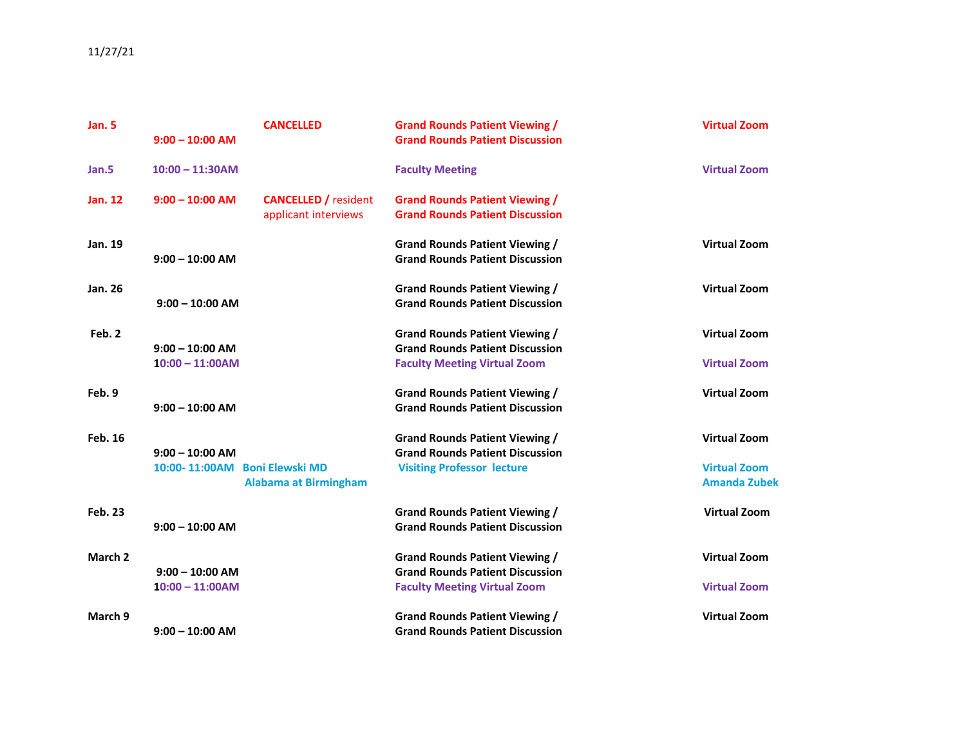# 11/27/21

| <b>Jan. 5</b>  |                   | <b>CANCELLED</b>              | <b>Grand Rounds Patient Viewing /</b>  | <b>Virtual Zoom</b> |
|----------------|-------------------|-------------------------------|----------------------------------------|---------------------|
|                | $9:00 - 10:00$ AM |                               | <b>Grand Rounds Patient Discussion</b> |                     |
| Jan.5          | $10:00 - 11:30AM$ |                               | <b>Faculty Meeting</b>                 | <b>Virtual Zoom</b> |
| <b>Jan. 12</b> | $9:00 - 10:00$ AM | <b>CANCELLED</b> / resident   | <b>Grand Rounds Patient Viewing /</b>  |                     |
|                |                   | applicant interviews          | <b>Grand Rounds Patient Discussion</b> |                     |
| Jan. 19        |                   |                               | <b>Grand Rounds Patient Viewing /</b>  | <b>Virtual Zoom</b> |
|                | $9:00 - 10:00$ AM |                               | <b>Grand Rounds Patient Discussion</b> |                     |
| Jan. 26        |                   |                               | <b>Grand Rounds Patient Viewing /</b>  | <b>Virtual Zoom</b> |
|                | $9:00 - 10:00$ AM |                               | <b>Grand Rounds Patient Discussion</b> |                     |
| Feb. 2         |                   |                               | <b>Grand Rounds Patient Viewing /</b>  | <b>Virtual Zoom</b> |
|                | $9:00 - 10:00$ AM |                               | <b>Grand Rounds Patient Discussion</b> |                     |
|                | $10:00 - 11:00AM$ |                               | <b>Faculty Meeting Virtual Zoom</b>    | <b>Virtual Zoom</b> |
| Feb. 9         |                   |                               | <b>Grand Rounds Patient Viewing /</b>  | <b>Virtual Zoom</b> |
|                | $9:00 - 10:00$ AM |                               | <b>Grand Rounds Patient Discussion</b> |                     |
| <b>Feb. 16</b> |                   |                               | <b>Grand Rounds Patient Viewing /</b>  | <b>Virtual Zoom</b> |
|                | $9:00 - 10:00$ AM |                               | <b>Grand Rounds Patient Discussion</b> |                     |
|                |                   | 10:00-11:00AM Boni Elewski MD | <b>Visiting Professor lecture</b>      | <b>Virtual Zoom</b> |
|                |                   | <b>Alabama at Birmingham</b>  |                                        | <b>Amanda Zubek</b> |
| <b>Feb. 23</b> |                   |                               | <b>Grand Rounds Patient Viewing /</b>  | <b>Virtual Zoom</b> |
|                | $9:00 - 10:00$ AM |                               | <b>Grand Rounds Patient Discussion</b> |                     |
| March 2        |                   |                               | <b>Grand Rounds Patient Viewing /</b>  | <b>Virtual Zoom</b> |
|                | $9:00 - 10:00$ AM |                               | <b>Grand Rounds Patient Discussion</b> |                     |
|                | $10:00 - 11:00AM$ |                               | <b>Faculty Meeting Virtual Zoom</b>    | <b>Virtual Zoom</b> |
| March 9        |                   |                               | <b>Grand Rounds Patient Viewing /</b>  | <b>Virtual Zoom</b> |
|                | $9:00 - 10:00$ AM |                               | <b>Grand Rounds Patient Discussion</b> |                     |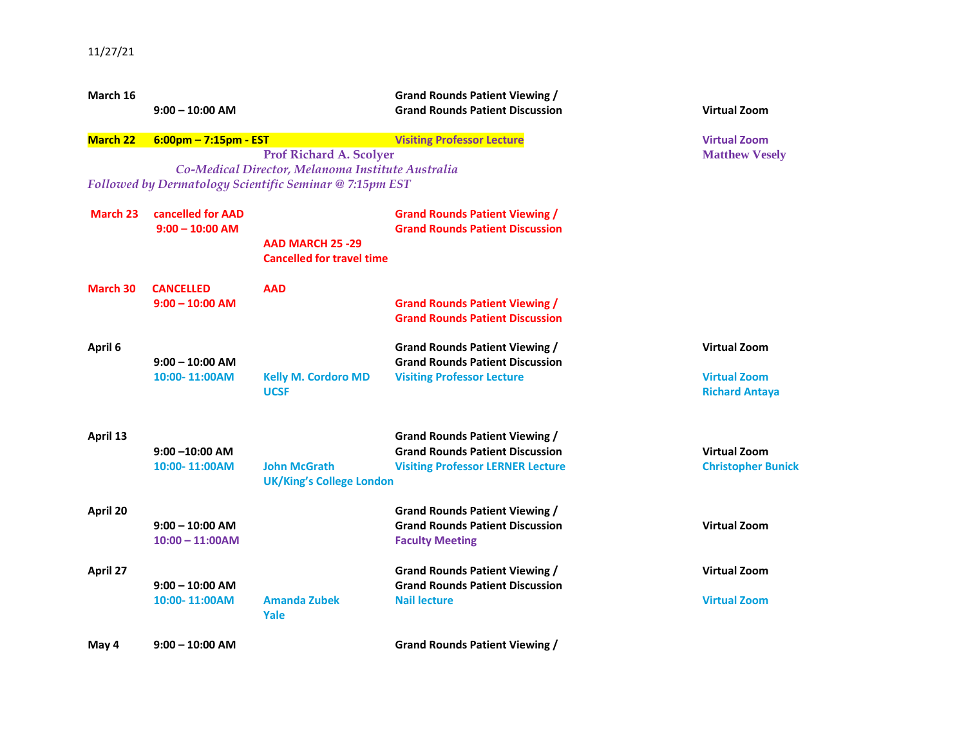| March 16        | $9:00 - 10:00$ AM                     |                                                                                     | <b>Grand Rounds Patient Viewing /</b><br><b>Grand Rounds Patient Discussion</b> | <b>Virtual Zoom</b>                          |
|-----------------|---------------------------------------|-------------------------------------------------------------------------------------|---------------------------------------------------------------------------------|----------------------------------------------|
| <b>March 22</b> | $6:00$ pm - 7:15pm - EST              |                                                                                     | <b>Visiting Professor Lecture</b>                                               | <b>Virtual Zoom</b>                          |
|                 |                                       | <b>Prof Richard A. Scolyer</b><br>Co-Medical Director, Melanoma Institute Australia |                                                                                 | <b>Matthew Vesely</b>                        |
|                 |                                       | Followed by Dermatology Scientific Seminar @ 7:15pm EST                             |                                                                                 |                                              |
| March 23        | cancelled for AAD                     |                                                                                     | <b>Grand Rounds Patient Viewing /</b>                                           |                                              |
|                 | $9:00 - 10:00$ AM                     |                                                                                     | <b>Grand Rounds Patient Discussion</b>                                          |                                              |
|                 |                                       | <b>AAD MARCH 25 -29</b><br><b>Cancelled for travel time</b>                         |                                                                                 |                                              |
|                 |                                       |                                                                                     |                                                                                 |                                              |
| March 30        | <b>CANCELLED</b><br>$9:00 - 10:00$ AM | <b>AAD</b>                                                                          | <b>Grand Rounds Patient Viewing /</b>                                           |                                              |
|                 |                                       |                                                                                     | <b>Grand Rounds Patient Discussion</b>                                          |                                              |
| April 6         |                                       |                                                                                     | <b>Grand Rounds Patient Viewing /</b>                                           | <b>Virtual Zoom</b>                          |
|                 | $9:00 - 10:00$ AM                     |                                                                                     | <b>Grand Rounds Patient Discussion</b>                                          |                                              |
|                 | 10:00-11:00AM                         | <b>Kelly M. Cordoro MD</b><br><b>UCSF</b>                                           | <b>Visiting Professor Lecture</b>                                               | <b>Virtual Zoom</b><br><b>Richard Antaya</b> |
|                 |                                       |                                                                                     |                                                                                 |                                              |
| April 13        |                                       |                                                                                     | <b>Grand Rounds Patient Viewing /</b>                                           |                                              |
|                 | $9:00 - 10:00$ AM                     |                                                                                     | <b>Grand Rounds Patient Discussion</b>                                          | <b>Virtual Zoom</b>                          |
|                 | 10:00-11:00AM                         | <b>John McGrath</b>                                                                 | <b>Visiting Professor LERNER Lecture</b>                                        | <b>Christopher Bunick</b>                    |
|                 |                                       | <b>UK/King's College London</b>                                                     |                                                                                 |                                              |
| April 20        |                                       |                                                                                     | <b>Grand Rounds Patient Viewing /</b>                                           |                                              |
|                 | $9:00 - 10:00$ AM                     |                                                                                     | <b>Grand Rounds Patient Discussion</b>                                          | <b>Virtual Zoom</b>                          |
|                 | $10:00 - 11:00AM$                     |                                                                                     | <b>Faculty Meeting</b>                                                          |                                              |
| April 27        |                                       |                                                                                     | <b>Grand Rounds Patient Viewing /</b>                                           | <b>Virtual Zoom</b>                          |
|                 | $9:00 - 10:00$ AM                     |                                                                                     | <b>Grand Rounds Patient Discussion</b>                                          |                                              |
|                 | 10:00-11:00AM                         | <b>Amanda Zubek</b><br>Yale                                                         | <b>Nail lecture</b>                                                             | <b>Virtual Zoom</b>                          |
| May 4           | $9:00 - 10:00$ AM                     |                                                                                     | <b>Grand Rounds Patient Viewing /</b>                                           |                                              |